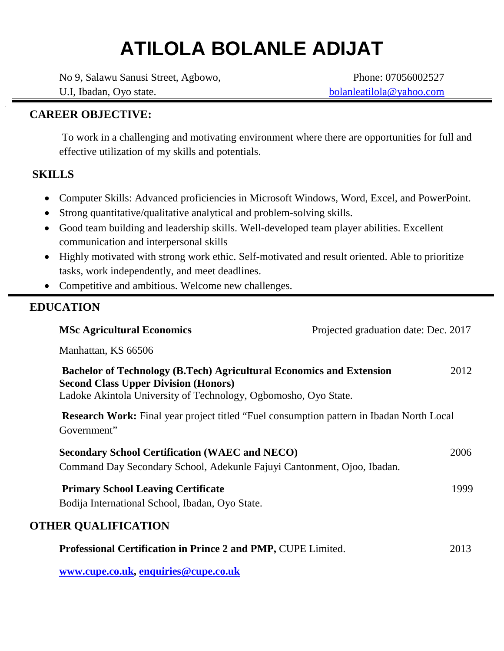# **ATILOLA BOLANLE ADIJAT**

No 9, Salawu Sanusi Street, Agbowo, U.I, Ibadan, Oyo state.

Phone: 07056002527 bolanleatilola@yahoo.com

# **CAREER OBJECTIVE:**

To work in a challenging and motivating environment where there are opportunities for full and effective utilization of my skills and potentials.

# **SKILLS**

- Computer Skills: Advanced proficiencies in Microsoft Windows, Word, Excel, and PowerPoint.
- Strong quantitative/qualitative analytical and problem-solving skills.
- Good team building and leadership skills. Well-developed team player abilities. Excellent communication and interpersonal skills
- Highly motivated with strong work ethic. Self-motivated and result oriented. Able to prioritize tasks, work independently, and meet deadlines.
- Competitive and ambitious. Welcome new challenges.

# **EDUCATION**

| <b>MSc Agricultural Economics</b>                                                                                                                                                             | Projected graduation date: Dec. 2017 |      |
|-----------------------------------------------------------------------------------------------------------------------------------------------------------------------------------------------|--------------------------------------|------|
| Manhattan, KS 66506                                                                                                                                                                           |                                      |      |
| <b>Bachelor of Technology (B.Tech) Agricultural Economics and Extension</b><br><b>Second Class Upper Division (Honors)</b><br>Ladoke Akintola University of Technology, Ogbomosho, Oyo State. |                                      | 2012 |
| <b>Research Work:</b> Final year project titled "Fuel consumption pattern in Ibadan North Local<br>Government"                                                                                |                                      |      |
| <b>Secondary School Certification (WAEC and NECO)</b><br>Command Day Secondary School, Adekunle Fajuyi Cantonment, Ojoo, Ibadan.                                                              |                                      | 2006 |
| <b>Primary School Leaving Certificate</b><br>Bodija International School, Ibadan, Oyo State.                                                                                                  |                                      | 1999 |
| <b>OTHER QUALIFICATION</b>                                                                                                                                                                    |                                      |      |
| Professional Certification in Prince 2 and PMP, CUPE Limited.                                                                                                                                 |                                      | 2013 |
| www.cupe.co.uk, enquiries@cupe.co.uk                                                                                                                                                          |                                      |      |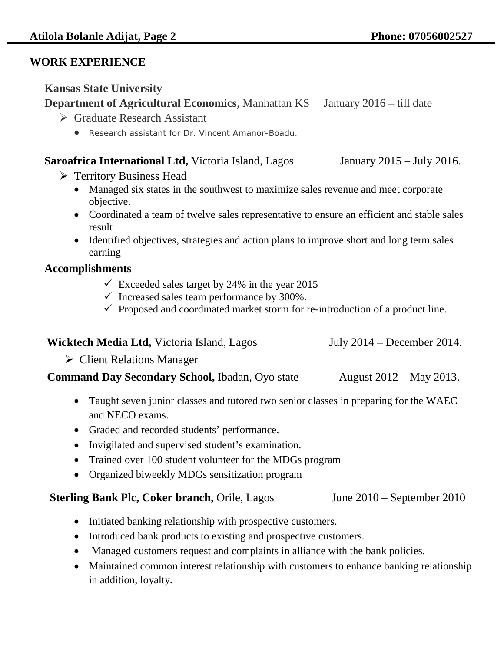## **WORK EXPERIENCE**

## **Kansas State University**

# **Department of Agricultural Economics, Manhattan KS** January 2016 – till date

- Graduate Research Assistant
	- Research assistant for Dr. Vincent Amanor-Boadu.

## **Saroafrica International Ltd,** Victoria Island, LagosJanuary 2015 – July 2016.

- **► Territory Business Head** 
	- Managed six states in the southwest to maximize sales revenue and meet corporate objective.
	- Coordinated a team of twelve sales representative to ensure an efficient and stable sales result
	- Identified objectives, strategies and action plans to improve short and long term sales earning

# **Accomplishments**

- $\checkmark$  Exceeded sales target by 24% in the year 2015
- $\checkmark$  Increased sales team performance by 300%.
- $\checkmark$  Proposed and coordinated market storm for re-introduction of a product line.

| <b>Wicktech Media Ltd, Victoria Island, Lagos</b>                                      | July $2014$ – December 2014. |
|----------------------------------------------------------------------------------------|------------------------------|
| $\triangleright$ Client Relations Manager                                              |                              |
| <b>Command Day Secondary School, Ibadan, Oyo state</b>                                 | August 2012 – May 2013.      |
| • Taught seven junior classes and tutored two senior classes in preparing for the WAEC |                              |

- Taught seven junior classes and tutored two senior classes in preparing for the WAEC and NECO exams.
- Graded and recorded students' performance.
- Invigilated and supervised student's examination.
- Trained over 100 student volunteer for the MDGs program
- Organized biweekly MDGs sensitization program

## **Sterling Bank Plc, Coker branch, Orile, Lagos June 2010 – September 2010**

- Initiated banking relationship with prospective customers.
- Introduced bank products to existing and prospective customers.
- Managed customers request and complaints in alliance with the bank policies.
- Maintained common interest relationship with customers to enhance banking relationship in addition, loyalty.